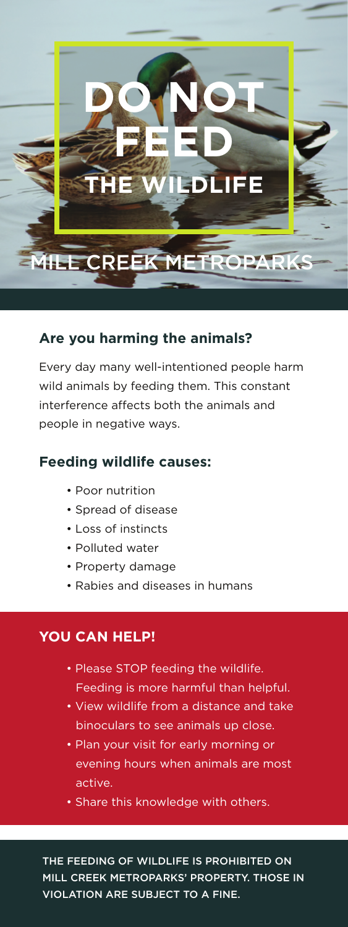

#### **Are you harming the animals?**

Every day many well-intentioned people harm wild animals by feeding them. This constant interference affects both the animals and people in negative ways.

#### **Feeding wildlife causes:**

- Poor nutrition
- Spread of disease
- Loss of instincts
- Polluted water
- Property damage
- Rabies and diseases in humans

### **YOU CAN HELP!**

- Please STOP feeding the wildlife. Feeding is more harmful than helpful.
- View wildlife from a distance and take binoculars to see animals up close.
- Plan your visit for early morning or evening hours when animals are most active.
- Share this knowledge with others.

THE FEEDING OF WILDLIFE IS PROHIBITED ON MILL CREEK METROPARKS' PROPERTY. THOSE IN VIOLATION ARE SUBJECT TO A FINE.